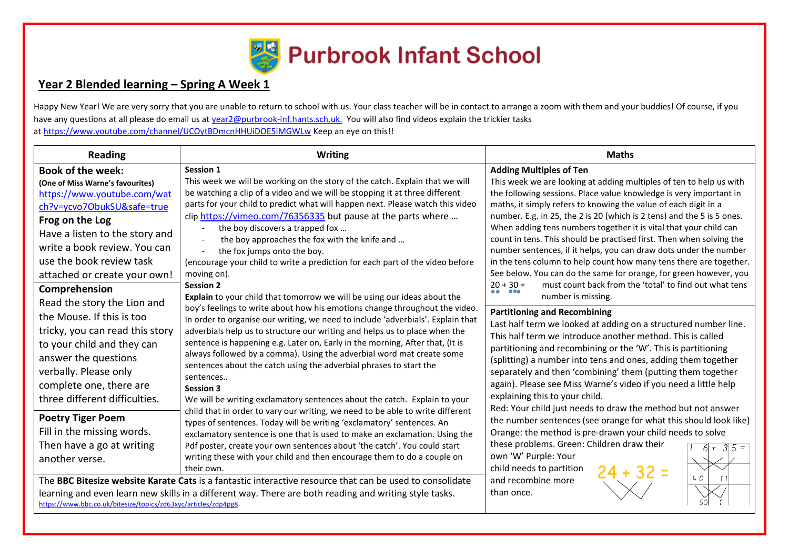

## **Year 2 Blended learning – Spring A Week 1**

Happy New Year! We are very sorry that you are unable to return to school with us. Your class teacher will be in contact to arrange a zoom with them and your buddies! Of course, if you have any questions at all please do email us at [year2@purbrook-inf.hants.sch.uk.](mailto:year2@purbrook-inf.hants.sch.uk) You will also find videos explain the trickier tasks a[t https://www.youtube.com/channel/UCOytBDmcnHHUiDOE5iMGWLw](https://www.youtube.com/channel/UCOytBDmcnHHUiDOE5iMGWLw) Keep an eye on this!!

| <b>Reading</b>                                                                                                                                                                                                                         | <b>Writing</b>                                                                                                                                                                                                                                                                                                                                                                                                                                                                                                                                                                                                                                                                                                                                                                                                                                                                                                                                                                                                                                                                                                                                                                                                                                                                                                                                                                              | <b>Maths</b>                                                                                                                                                                                                                                                                                                                                                                                                                                                                                                                                                                                   |
|----------------------------------------------------------------------------------------------------------------------------------------------------------------------------------------------------------------------------------------|---------------------------------------------------------------------------------------------------------------------------------------------------------------------------------------------------------------------------------------------------------------------------------------------------------------------------------------------------------------------------------------------------------------------------------------------------------------------------------------------------------------------------------------------------------------------------------------------------------------------------------------------------------------------------------------------------------------------------------------------------------------------------------------------------------------------------------------------------------------------------------------------------------------------------------------------------------------------------------------------------------------------------------------------------------------------------------------------------------------------------------------------------------------------------------------------------------------------------------------------------------------------------------------------------------------------------------------------------------------------------------------------|------------------------------------------------------------------------------------------------------------------------------------------------------------------------------------------------------------------------------------------------------------------------------------------------------------------------------------------------------------------------------------------------------------------------------------------------------------------------------------------------------------------------------------------------------------------------------------------------|
| <b>Book of the week:</b><br>(One of Miss Warne's favourites)<br>https://www.youtube.com/wat<br>ch?v=ycvo7ObukSU&safe=true                                                                                                              | <b>Session 1</b><br>This week we will be working on the story of the catch. Explain that we will<br>be watching a clip of a video and we will be stopping it at three different<br>parts for your child to predict what will happen next. Please watch this video                                                                                                                                                                                                                                                                                                                                                                                                                                                                                                                                                                                                                                                                                                                                                                                                                                                                                                                                                                                                                                                                                                                           | <b>Adding Multiples of Ten</b><br>This week we are looking at adding multiples of ten to help us with<br>the following sessions. Place value knowledge is very important in<br>maths, it simply refers to knowing the value of each digit in a                                                                                                                                                                                                                                                                                                                                                 |
| Frog on the Log<br>Have a listen to the story and<br>write a book review. You can<br>use the book review task<br>attached or create your own!<br>Comprehension                                                                         | clip https://vimeo.com/76356335 but pause at the parts where<br>the boy discovers a trapped fox<br>the boy approaches the fox with the knife and<br>the fox jumps onto the boy.<br>(encourage your child to write a prediction for each part of the video before<br>moving on).<br><b>Session 2</b><br>Explain to your child that tomorrow we will be using our ideas about the<br>boy's feelings to write about how his emotions change throughout the video.<br>In order to organise our writing, we need to include 'adverbials'. Explain that<br>adverbials help us to structure our writing and helps us to place when the<br>sentence is happening e.g. Later on, Early in the morning, After that, (It is<br>always followed by a comma). Using the adverbial word mat create some<br>sentences about the catch using the adverbial phrases to start the<br>sentences<br><b>Session 3</b><br>We will be writing exclamatory sentences about the catch. Explain to your<br>child that in order to vary our writing, we need to be able to write different<br>types of sentences. Today will be writing 'exclamatory' sentences. An<br>exclamatory sentence is one that is used to make an exclamation. Using the<br>Pdf poster, create your own sentences about 'the catch'. You could start<br>writing these with your child and then encourage them to do a couple on<br>their own. | number. E.g. in 25, the 2 is 20 (which is 2 tens) and the 5 is 5 ones.<br>When adding tens numbers together it is vital that your child can<br>count in tens. This should be practised first. Then when solving the<br>number sentences, if it helps, you can draw dots under the number<br>in the tens column to help count how many tens there are together.<br>See below. You can do the same for orange, for green however, you<br>must count back from the 'total' to find out what tens<br>$20 + 30 =$<br>$\overline{\circ}$ $\overline{\circ}$<br>$\circ$ $\circ$<br>number is missing. |
| Read the story the Lion and<br>the Mouse. If this is too<br>tricky, you can read this story<br>to your child and they can<br>answer the questions<br>verbally. Please only<br>complete one, there are<br>three different difficulties. |                                                                                                                                                                                                                                                                                                                                                                                                                                                                                                                                                                                                                                                                                                                                                                                                                                                                                                                                                                                                                                                                                                                                                                                                                                                                                                                                                                                             | <b>Partitioning and Recombining</b><br>Last half term we looked at adding on a structured number line.<br>This half term we introduce another method. This is called<br>partitioning and recombining or the 'W'. This is partitioning<br>(splitting) a number into tens and ones, adding them together<br>separately and then 'combining' them (putting them together<br>again). Please see Miss Warne's video if you need a little help<br>explaining this to your child.<br>Red: Your child just needs to draw the method but not answer                                                     |
| <b>Poetry Tiger Poem</b><br>Fill in the missing words.<br>Then have a go at writing<br>another verse.                                                                                                                                  |                                                                                                                                                                                                                                                                                                                                                                                                                                                                                                                                                                                                                                                                                                                                                                                                                                                                                                                                                                                                                                                                                                                                                                                                                                                                                                                                                                                             | the number sentences (see orange for what this should look like)<br>Orange: the method is pre-drawn your child needs to solve<br>these problems. Green: Children draw their<br>$6+35=$<br>own 'W' Purple: Your<br>child needs to partition<br>$24 + 32 =$                                                                                                                                                                                                                                                                                                                                      |
| https://www.bbc.co.uk/bitesize/topics/zd63xyc/articles/zdp4pg8                                                                                                                                                                         | The BBC Bitesize website Karate Cats is a fantastic interactive resource that can be used to consolidate<br>learning and even learn new skills in a different way. There are both reading and writing style tasks.                                                                                                                                                                                                                                                                                                                                                                                                                                                                                                                                                                                                                                                                                                                                                                                                                                                                                                                                                                                                                                                                                                                                                                          | 40<br>and recombine more<br>than once.                                                                                                                                                                                                                                                                                                                                                                                                                                                                                                                                                         |